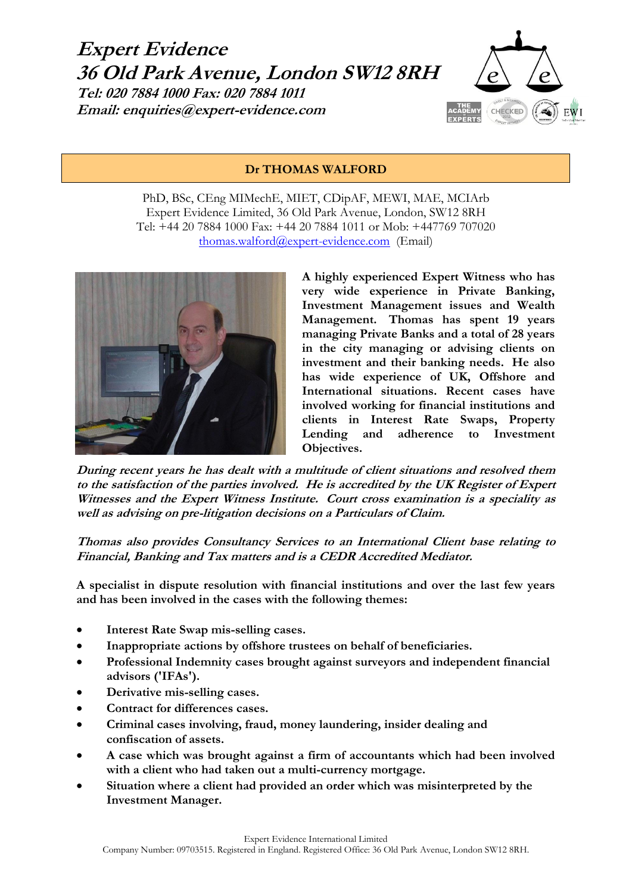



### **Dr THOMAS WALFORD**

PhD, BSc, CEng MIMechE, MIET, CDipAF, MEWI, MAE, MCIArb Expert Evidence Limited, 36 Old Park Avenue, London, SW12 8RH Tel: +44 20 7884 1000 Fax: +44 20 7884 1011 or Mob: +447769 707020 [thomas.walford@expert-evidence.com](mailto:thomas.walford@expert-evidence.com) (Email)



**A highly experienced Expert Witness who has very wide experience in Private Banking, Investment Management issues and Wealth Management. Thomas has spent 19 years managing Private Banks and a total of 28 years in the city managing or advising clients on investment and their banking needs. He also has wide experience of UK, Offshore and International situations. Recent cases have involved working for financial institutions and clients in Interest Rate Swaps, Property Lending and adherence to Investment Objectives.**

**During recent years he has dealt with a multitude of client situations and resolved them to the satisfaction of the parties involved. He is accredited by the UK Register of Expert Witnesses and the Expert Witness Institute. Court cross examination is a speciality as well as advising on pre-litigation decisions on a Particulars of Claim.**

**Thomas also provides Consultancy Services to an International Client base relating to Financial, Banking and Tax matters and is a CEDR Accredited Mediator.**

**A specialist in dispute resolution with financial institutions and over the last few years and has been involved in the cases with the following themes:**

- **Interest Rate Swap mis-selling cases.**
- **Inappropriate actions by offshore trustees on behalf of beneficiaries.**
- **Professional Indemnity cases brought against surveyors and independent financial advisors ('IFAs').**
- **Derivative mis-selling cases.**
- **Contract for differences cases.**
- **Criminal cases involving, fraud, money laundering, insider dealing and confiscation of assets.**
- **A case which was brought against a firm of accountants which had been involved with a client who had taken out a multi-currency mortgage.**
- **Situation where a client had provided an order which was misinterpreted by the Investment Manager.**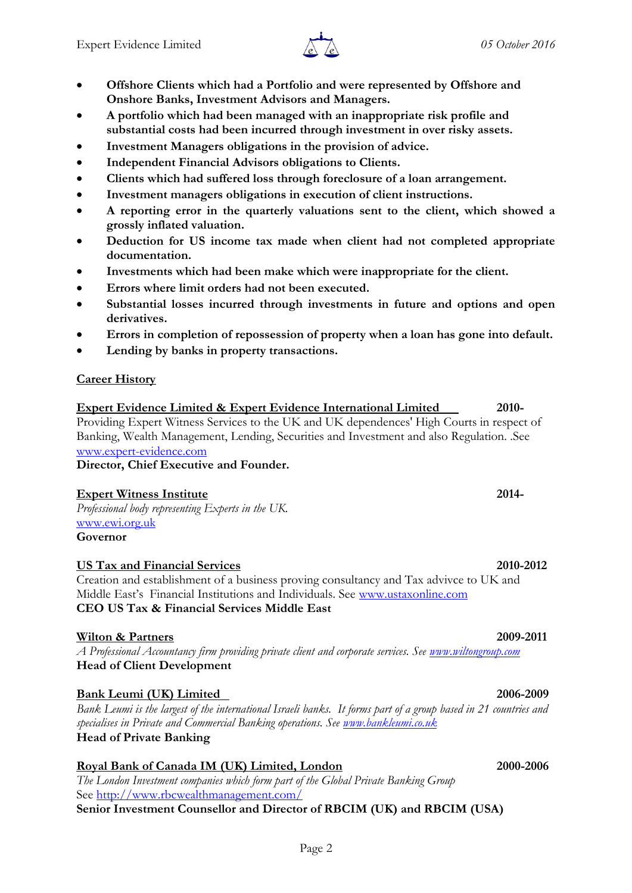

- **Offshore Clients which had a Portfolio and were represented by Offshore and Onshore Banks, Investment Advisors and Managers.**
- **A portfolio which had been managed with an inappropriate risk profile and substantial costs had been incurred through investment in over risky assets.**
- **Investment Managers obligations in the provision of advice.**
- **Independent Financial Advisors obligations to Clients.**
- **Clients which had suffered loss through foreclosure of a loan arrangement.**
- **Investment managers obligations in execution of client instructions.**
- **A reporting error in the quarterly valuations sent to the client, which showed a grossly inflated valuation.**
- **Deduction for US income tax made when client had not completed appropriate documentation.**
- **Investments which had been make which were inappropriate for the client.**
- **Errors where limit orders had not been executed.**
- **Substantial losses incurred through investments in future and options and open derivatives.**
- **Errors in completion of repossession of property when a loan has gone into default.**
- **Lending by banks in property transactions.**

## **Career History**

**Expert Evidence Limited & Expert Evidence International Limited 2010-** Providing Expert Witness Services to the UK and UK dependences' High Courts in respect of Banking, Wealth Management, Lending, Securities and Investment and also Regulation. .See [www.expert-evidence.com](http://www.expert-evidence.com/)

**Director, Chief Executive and Founder.**

### **Expert Witness Institute 2014-**

*Professional body representing Experts in the UK.* [www.ewi.org.uk](http://www.ewi.org.uk/) **Governor**

### **US Tax and Financial Services 2010-2012**

Creation and establishment of a business proving consultancy and Tax advivce to UK and Middle East's Financial Institutions and Individuals. See [www.ustaxonline.com](http://www.ustaxonline.com/) **CEO US Tax & Financial Services Middle East**

### **Wilton & Partners 2009-2011**

*A Professional Accountancy firm providing private client and corporate services. See [www.wiltongroup.com](http://www.wiltongroup.com/)* **Head of Client Development**

# **Bank Leumi (UK) Limited 2006-2009**

*Bank Leumi is the largest of the international Israeli banks. It forms part of a group based in 21 countries and specialises in Private and Commercial Banking operations. See [www.bankleumi.co.uk](http://www.bankleumi.co.uk/)* **Head of Private Banking**

# **Royal Bank of Canada IM (UK) Limited, London 2000-2006**

*The London Investment companies which form part of the Global Private Banking Group* See<http://www.rbcwealthmanagement.com/> **Senior Investment Counsellor and Director of RBCIM (UK) and RBCIM (USA)**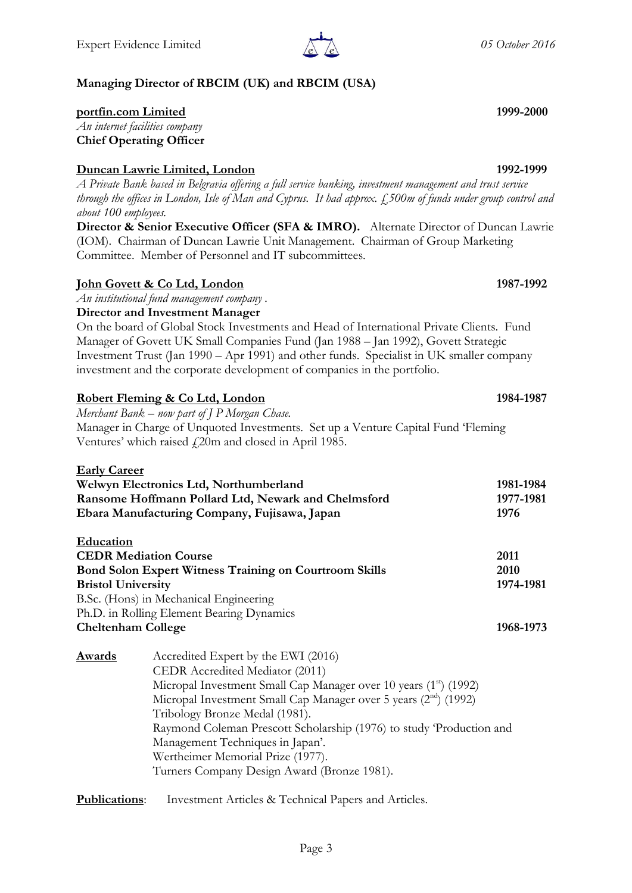# **Managing Director of RBCIM (UK) and RBCIM (USA)**

### **portfin.com Limited 1999-2000**

*An internet facilities company*  **Chief Operating Officer**

### **Duncan Lawrie Limited, London 1992-1999**

*A Private Bank based in Belgravia offering a full service banking, investment management and trust service through the offices in London, Isle of Man and Cyprus. It had approx. £500m of funds under group control and about 100 employees.*

**Director & Senior Executive Officer (SFA & IMRO).** Alternate Director of Duncan Lawrie (IOM). Chairman of Duncan Lawrie Unit Management. Chairman of Group Marketing Committee. Member of Personnel and IT subcommittees.

### **John Govett & Co Ltd, London 1987-1992**

*An institutional fund management company .*

### **Director and Investment Manager**

On the board of Global Stock Investments and Head of International Private Clients. Fund Manager of Govett UK Small Companies Fund (Jan 1988 – Jan 1992), Govett Strategic Investment Trust (Jan 1990 – Apr 1991) and other funds. Specialist in UK smaller company investment and the corporate development of companies in the portfolio.

### **Robert Fleming & Co Ltd, London 1984-1987**

*Merchant Bank – now part of J P Morgan Chase.* Manager in Charge of Unquoted Investments. Set up a Venture Capital Fund 'Fleming Ventures' which raised  $\sqrt{20m}$  and closed in April 1985.

| <b>Early Career</b>                                                                                 |                                                                               |                   |
|-----------------------------------------------------------------------------------------------------|-------------------------------------------------------------------------------|-------------------|
| Welwyn Electronics Ltd, Northumberland                                                              |                                                                               | 1981-1984         |
| Ransome Hoffmann Pollard Ltd, Newark and Chelmsford<br>Ebara Manufacturing Company, Fujisawa, Japan |                                                                               | 1977-1981<br>1976 |
|                                                                                                     |                                                                               |                   |
| <b>CEDR Mediation Course</b>                                                                        |                                                                               | 2011              |
| <b>Bond Solon Expert Witness Training on Courtroom Skills</b>                                       |                                                                               | 2010              |
| <b>Bristol University</b>                                                                           |                                                                               | 1974-1981         |
|                                                                                                     | B.Sc. (Hons) in Mechanical Engineering                                        |                   |
|                                                                                                     | Ph.D. in Rolling Element Bearing Dynamics                                     |                   |
| <b>Cheltenham College</b>                                                                           |                                                                               | 1968-1973         |
| <b>Awards</b>                                                                                       | Accredited Expert by the EWI (2016)                                           |                   |
|                                                                                                     | CEDR Accredited Mediator (2011)                                               |                   |
|                                                                                                     | Micropal Investment Small Cap Manager over 10 years (1 <sup>st</sup> ) (1992) |                   |
|                                                                                                     | Micropal Investment Small Cap Manager over 5 years (2 <sup>nd</sup> ) (1992)  |                   |
|                                                                                                     | Tribology Bronze Medal (1981).                                                |                   |
|                                                                                                     | Raymond Coleman Prescott Scholarship (1976) to study 'Production and          |                   |
|                                                                                                     | Management Techniques in Japan'.                                              |                   |
|                                                                                                     | Wertheimer Memorial Prize (1977).                                             |                   |
|                                                                                                     | Turners Company Design Award (Bronze 1981).                                   |                   |
|                                                                                                     |                                                                               |                   |

**Publications**: Investment Articles & Technical Papers and Articles.